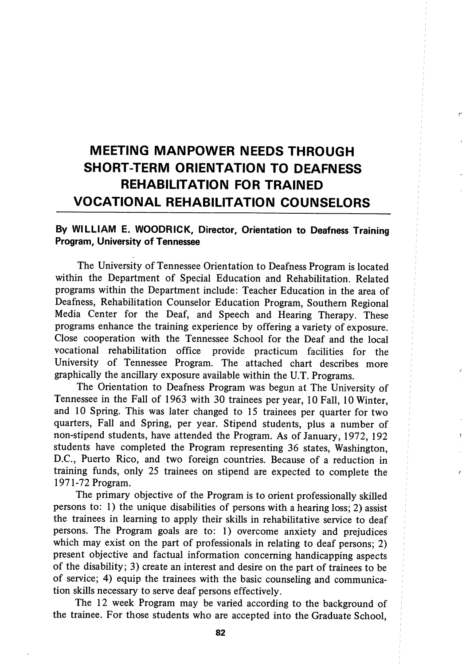# MEETING MANPOWER NEEDS THROUGH SHORT-TERM ORIENTATION TO DEAFNESS REHABILITATION FOR TRAINED VOCATIONAL REHABILITATION COUNSELORS

# By WILLIAM E. WOODRICK, Director, Orientation to Deafness Training Program, University of Tennessee

The University of Tennessee Orientation to Deafness Program is located within the Department of Special Education and Rehabilitation. Related programs within the Department include: Teacher Education in the area of Deafness, Rehabilitation Counselor Education Program, Southern Regional Media Center for the Deaf, and Speech and Hearing Therapy. These programs enhance the training experience by offering a variety of exposure. Close cooperation with the Tennessee School for the Deaf and the local vocational rehabihtation office provide practicum facilities for the University of Tennessee Program. The attached chart describes more graphically the ancillary exposure available within the U.T. Programs.

The Orientation to Deafness Program was begun at The University of Tennessee in the Fall of 1963 with 30 trainees per year, 10 Fall, 10 Winter, and 10 Spring. This was later changed to 15 trainees per quarter for two quarters. Fall and Spring, per year. Stipend students, plus a number of non-stipend students, have attended the Program. As of January, 1972, 192 students have completed the Program representing 36 states, Washington, D.C., Puerto Rico, and two foreign countries. Because of a reduction in training funds, only 25 trainees on stipend are expected to complete the 1971-72 Program.

The primary objective of the Program is to orient professionally skilled persons to: 1) the unique disabilities of persons with a hearing loss; 2) assist the trainees in learning to apply their skills in rehabilitative service to deaf persons. The Program goals are to: 1) overcome anxiety and prejudices which may exist on the part of professionals in relating to deaf persons; 2) present objective and factual information concerning handicapping aspects of the disability; 3) create an interest and desire on the part of trainees to be of service; 4) equip the trainees with the basic counseling and communica tion skills necessary to serve deaf persons effectively.

The 12 week Program may be varied according to the background of the trainee. For those students who are accepted into the Graduate School,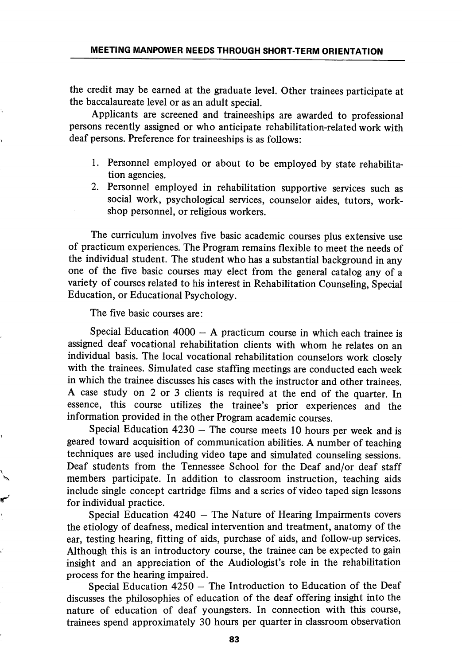the credit may be earned at the graduate level. Other trainees participate at the baccalaureate level or as an adult special.

Applicants are screened and traineeships are awarded to professional persons recently assigned or who anticipate rehabilitation-related work with deaf persons. Preference for traineeships is as follows:

- 1. Personnel employed or about to be employed by state rehabilita tion agencies.
- 2. Personnel employed in rehabilitation supportive services such as social work, psychological services, counselor aides, tutors, work shop personnel, or religious workers.

The curriculum involves five basic academic courses plus extensive use of practicum experiences. The Program remains flexible to meet the needs of the individual student. The student who has a substantial background in any one of the five basic courses may elect from the general catalog any of a variety of courses related to his interest in Rehabilitation Counseling, Special Education, or Educational Psychology.

The five basic courses are:

Special Education 4000 — A practicum course in which each trainee is assigned deaf vocational rehabilitation clients with whom he relates on an individual basis. The local vocational rehabilitation counselors work closely with the trainees. Simulated case staffing meetings are conducted each week in which the trainee discusses his cases with the instructor and other trainees. A case study on 2 or 3 clients is required at the end of the quarter. In essence, this course utilizes the trainee's prior experiences and the information provided in the other Program academic courses.

Special Education 4230 — The course meets 10 hours per week and is geared toward acquisition of communication abilities. A number of teaching techniques are used including video tape and simulated counseling sessions. Deaf students from the Tennessee School for the Deaf and/or deaf staff members participate. In addition to classroom instruction, teaching aids include single concept cartridge films and a series of video taped sign lessons for individual practice.

Special Education 4240 — The Nature of Hearing Impairments covers the etiology of deafness, medical intervention and treatment, anatomy of the ear, testing hearing, fitting of aids, purchase of aids, and follow-up services. Although this is an introductory course, the trainee can be expected to gain insight and an appreciation of the Audiologist's role in the rehabilitation process for the hearing impaired.

Special Education 4250 — The Introduction to Education of the Deaf discusses the philosophies of education of the deaf offering insight into the nature of education of deaf youngsters. In connection with this course, trainees spend approximately 30 hours per quarter in classroom observation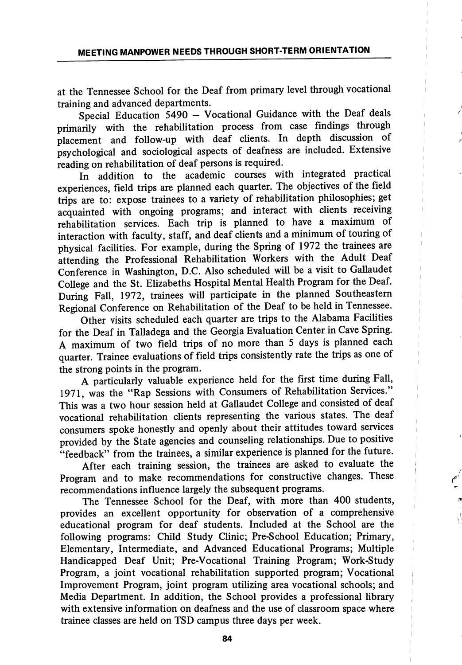at the Tennessee School for the Deaf from primary level through vocational training and advanced departments.

Special Education 5490 - Vocational Guidance with the Deaf deals primarily with the rehabilitation process from case findings through placement and follow-up with deaf clients. In depth discussion of psychological and sociological aspects of deafness are included. Extensive reading on rehabilitation of deaf persons is required.

In addition to the academic courses with integrated practical experiences, field trips are planned each quarter. The objectives of the field trips are to: expose trainees to a variety of rehabilitation philosophies; get acquainted with ongoing programs; and interact with clients receiving rehabilitation services. Each trip is planned to have a maximum of interaction with faculty, staff, and deaf clients and a minimum of touring of physical facilities. For example, during the Spring of 1972 the trainees are attending the Professional Rehabilitation Workers with the Adult Deaf Conference in Washington, D.C. Also scheduled will be a visit to Gallaudet College and the St. Elizabeths Hospital Mental Health Program for the Deaf. During Fall, 1972, trainees will participate in the planned Southeastern Regional Conference on Rehabilitation of the Deaf to be held in Tennessee.

Other visits scheduled each quarter are trips to the Alabama Facilities for the Deaf in Talladega and the Georgia Evaluation Center in Cave Spring. A maximum of two field trips of no more than 5 days is planned each quarter. Trainee evaluations of field trips consistently rate the trips as one of the strong points in the program.

A particularly valuable experience held for the first time during Fall, 1971, was the "Rap Sessions with Consumers of Rehabilitation Services." This was a two hour session held at Gallaudet College and consisted of deaf vocational rehabilitation clients representing the various states. The deaf consumers spoke honestly and openly about their attitudes toward services provided by the State agencies and counseling relationships. Due to positive "feedback" from the trainees, a similar experience is planned for the future.

After each training session, the trainees are asked to evaluate the Program and to make recommendations for constructive changes. These recommendations influence largely the subsequent programs.

The Tennessee School for the Deaf, with more than 400 students, provides an excellent opportunity for observation of a comprehensive educational program for deaf students. Included at the School are the following programs: Child Study Clinic; Pre-School Education; Primary, Elementary, Intermediate, and Advanced Educational Programs; Multiple Handicapped Deaf Unit; Pre-Vocational Training Program; Work-Study Program, a joint vocational rehabilitation supported program; Vocational Improvement Program, joint program utihzing area vocational schools; and Media Department. In addition, the School provides a professional library with extensive information on deafness and the use of classroom space where trainee classes are held on TSD campus three days per week.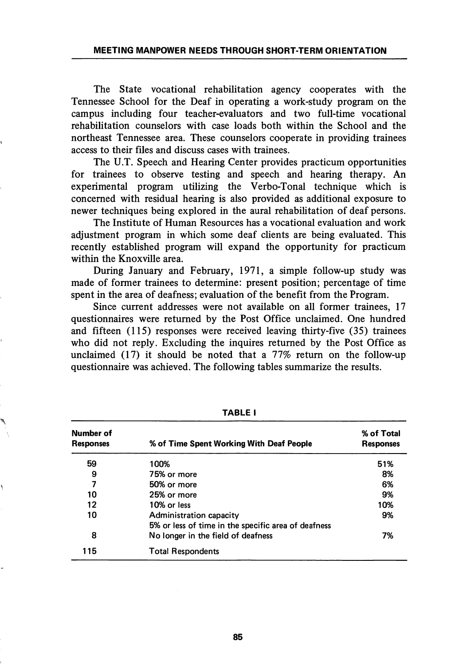The State vocational rehabilitation agency cooperates with the Tennessee School for the Deaf in operating a work-study program on the campus including four teacher-evaluators and two full-time vocational rehabilitation counselors with case loads both within the School and the northeast Tennessee area. These counselors cooperate in providing trainees access to their files and discuss cases with trainees.

The U.T. Speech and Hearing Center provides practicum opportunities for trainees to observe testing and speech and hearing therapy. An experimental program utilizing the Verbo-Tonal technique which is concerned with residual hearing is also provided as additional exposure to newer techniques being explored in the aural rehabilitation of deaf persons.

The Institute of Human Resources has a vocational evaluation and work adjustment program in which some deaf clients are being evaluated. This recently established program will expand the opportunity for practicum within the Knoxville area.

During January and February, 1971, a simple follow-up study was made of former trainees to determine: present position; percentage of time spent in the area of deafness; evaluation of the benefit from the Program.

Since current addresses were not available on all former trainees, 17 questionnaires were returned by the Post Office unclaimed. One hundred and fifteen (115) responses were received leaving thirty-five (35) trainees who did not reply. Excluding the inquires returned by the Post Office as unclaimed (17) it should be noted that a 77% return on the follow-up questionnaire was achieved. The following tables summarize the results.

| Number of<br><b>Responses</b> | % of Time Spent Working With Deaf People                                       | % of Total<br><b>Responses</b> |
|-------------------------------|--------------------------------------------------------------------------------|--------------------------------|
| 59                            | 100%                                                                           | 51%                            |
| 9                             | 75% or more                                                                    | 8%                             |
| 7                             | 50% or more                                                                    | 6%                             |
| 10                            | 25% or more                                                                    | 9%                             |
| 12                            | 10% or less                                                                    | 10%                            |
| 10                            | Administration capacity<br>5% or less of time in the specific area of deafness | 9%                             |
| 8                             | No longer in the field of deafness                                             | 7%                             |
| 115                           | <b>Total Respondents</b>                                                       |                                |

TABLE I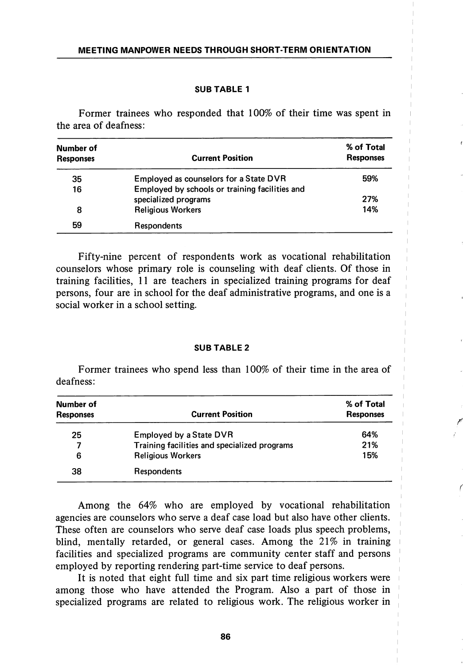## SUB TABLE 1

Former trainees who responded that 100% of their time was spent in the area of deafness:

| Number of<br><b>Responses</b> | <b>Current Position</b>                        | % of Total<br><b>Responses</b> |
|-------------------------------|------------------------------------------------|--------------------------------|
| 35                            | Employed as counselors for a State DVR         | 59%                            |
| 16                            | Employed by schools or training facilities and |                                |
|                               | specialized programs                           | 27%                            |
| 8                             | <b>Religious Workers</b>                       | 14%                            |
| 59                            | <b>Respondents</b>                             |                                |

Fifty-nine percent of respondents work as vocational rehabilitation counselors whose primary role is counseling with deaf clients. Of those in training facilities, 11 are teachers in specialized training programs for deaf persons, four are in school for the deaf administrative programs, and one is a social worker in a school setting.

### SUB TABLE 2

Former trainees who spend less than 100% of their time in the area of deafness;

| Number of<br><b>Responses</b> | <b>Current Position</b>                      | % of Total<br><b>Responses</b> |
|-------------------------------|----------------------------------------------|--------------------------------|
| 25                            | <b>Employed by a State DVR</b>               | 64%                            |
| 7                             | Training facilities and specialized programs | 21%                            |
| 6                             | <b>Religious Workers</b>                     | 15%                            |
| 38                            | Respondents                                  |                                |

Among the 64% who are employed by vocational rehabilitation agencies are counselors who serve a deaf case load but also have other clients. These often are counselors who serve deaf case loads plus speech problems, blind, mentally retarded, or general cases. Among the 21% in training facilities and specialized programs are community center staff and persons employed by reporting rendering part-time service to deaf persons.

It is noted that eight full time and six part time religious workers were among those who have attended the Program. Also a part of those in specialized programs are related to religious work. The religious worker in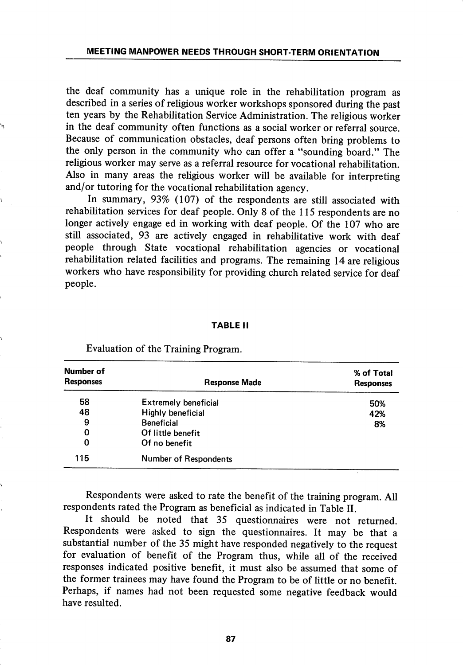the deaf community has a unique role in the rehabilitation program as described in a series of religious worker workshops sponsored during the past ten years by the Rehabilitation Service Administration. The religious worker in the deaf community often functions as a social worker or referral source. Because of communication obstacles, deaf persons often bring problems to the only person in the community who can offer a "sounding board." The religious worker may serve as a referral resource for vocational rehabilitation. Also in many areas the religious worker will be available for interpreting and/or tutoring for the vocational rehabilitation agency.

In summary, 93% (107) of the respondents are still associated with rehabilitation services for deaf people. Only 8 of the 115 respondents are no longer actively engage ed in working with deaf people. Of the 107 who are still associated, 93 are actively engaged in rehabilitative work with deaf people through State vocational rehabilitation agencies or vocational rehabilitation related facilities and programs. The remaining 14 are religious workers who have responsibility for providing church related service for deaf people.

#### TABLE II

| Number of<br><b>Responses</b> | <b>Response Made</b>         | % of Total<br><b>Responses</b> |
|-------------------------------|------------------------------|--------------------------------|
| 58                            | <b>Extremely beneficial</b>  | 50%                            |
| 48                            | <b>Highly beneficial</b>     | 42%                            |
| 9                             | <b>Beneficial</b>            | 8%                             |
| 0                             | Of little benefit            |                                |
| 0                             | Of no benefit                |                                |
| 115                           | <b>Number of Respondents</b> |                                |

Evaluation of the Training Program.

Respondents were asked to rate the benefit of the training program. All respondents rated the Program as beneficial as indicated in Table II.

It should be noted that 35 questionnaires were not returned. Respondents were asked to sign the questionnaires. It may be that a substantial number of the 35 might have responded negatively to the request for evaluation of benefit of the Program thus, while all of the received responses indicated positive benefit, it must also be assumed that some of the former trainees may have found the Program to be of little or no benefit. Perhaps, if names had not been requested some negative feedback would have resulted.

87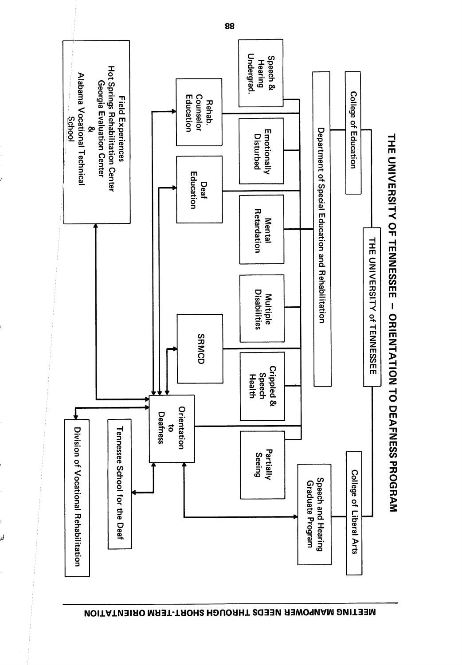

NEETING MAHTAOHIS NEEDS THROUGH SHOHLTERM ORIENTING

لما

88